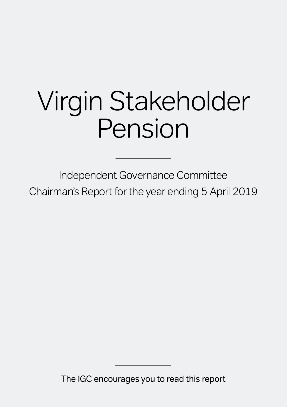# Virgin Stakeholder Pension

Independent Governance Committee Chairman's Report for the year ending 5 April 2019

The IGC encourages you to read this report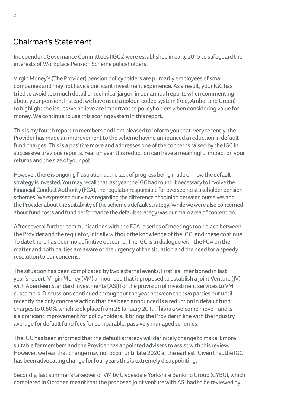# Chairman's Statement

Independent Governance Committees (IGCs) were established in early 2015 to safeguard the interests of Workplace Pension Scheme policyholders.

Virgin Money's (The Provider) pension policyholders are primarily employees of small companies and may not have significant investment experience. As a result, your IGC has tried to avoid too much detail or technical jargon in our annual reports when commenting about your pension. Instead, we have used a colour-coded system (Red, Amber and Green) to highlight the issues we believe are important to policyholders when considering value for money. We continue to use this scoring system in this report.

This is my fourth report to members and I am pleased to inform you that, very recently, the Provider has made an improvement to the scheme having announced a reduction in default fund charges. This is a positive move and addresses one of the concerns raised by the IGC in successive previous reports. Year on year this reduction can have a meaningful impact on your returns and the size of your pot.

However, there is ongoing frustration at the lack of progress being made on how the default strategy is invested. You may recall that last year the IGC had found it necessary to involve the Financial Conduct Authority (FCA), the regulator responsible for overseeing stakeholder pension schemes. We expressed our views regarding the difference of opinion between ourselves and the Provider about the suitability of the scheme's default strategy. While we were also concerned about fund costs and fund performance the default strategy was our main area of contention.

After several further communications with the FCA, a series of meetings took place between the Provider and the regulator, initially without the knowledge of the IGC, and these continue. To date there has been no definitive outcome. The IGC is in dialogue with the FCA on the matter and both parties are aware of the urgency of the situation and the need for a speedy resolution to our concerns.

The situation has been complicated by two external events. First, as I mentioned in last year's report, Virgin Money (VM) announced that it proposed to establish a Joint Venture (JV) with Aberdeen Standard Investments (ASI) for the provision of investment services to VM customers. Discussions continued throughout the year between the two parties but until recently the only concrete action that has been announced is a reduction in default fund charges to 0.60% which took place from 25 January 2019.This is a welcome move - and is a significant improvement for policyholders. It brings the Provider in line with the industry average for default fund fees for comparable, passively managed schemes.

The IGC has been informed that the default strategy will definitely change to make it more suitable for members and the Provider has appointed advisers to assist with this review. However, we fear that change may not occur until late 2020 at the earliest. Given that the IGC has been advocating change for four years this is extremely disappointing.

Secondly, last summer's takeover of VM by Clydesdale Yorkshire Banking Group (CYBG), which completed in October, meant that the proposed joint venture with ASI had to be reviewed by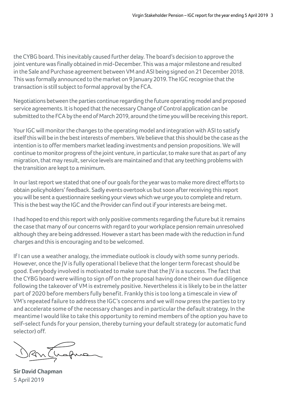the CYBG board. This inevitably caused further delay. The board's decision to approve the joint venture was finally obtained in mid-December. This was a major milestone and resulted in the Sale and Purchase agreement between VM and ASI being signed on 21 December 2018. This was formally announced to the market on 9 January 2019. The IGC recognise that the transaction is still subject to formal approval by the FCA.

Negotiations between the parties continue regarding the future operating model and proposed service agreements. It is hoped that the necessary Change of Control application can be submitted to the FCA by the end of March 2019, around the time you will be receiving this report.

Your IGC will monitor the changes to the operating model and integration with ASI to satisfy itself this will be in the best interests of members. We believe that this should be the case as the intention is to offer members market leading investments and pension propositions. We will continue to monitor progress of the joint venture, in particular, to make sure that as part of any migration, that may result, service levels are maintained and that any teething problems with the transition are kept to a minimum.

In our last report we stated that one of our goals for the year was to make more direct efforts to obtain policyholders' feedback. Sadly events overtook us but soon after receiving this report you will be sent a questionnaire seeking your views which we urge you to complete and return. This is the best way the IGC and the Provider can find out if your interests are being met.

I had hoped to end this report with only positive comments regarding the future but it remains the case that many of our concerns with regard to your workplace pension remain unresolved although they are being addressed. However a start has been made with the reduction in fund charges and this is encouraging and to be welcomed.

If I can use a weather analogy, the immediate outlook is cloudy with some sunny periods. However, once the JV is fully operational I believe that the longer term forecast should be good. Everybody involved is motivated to make sure that the JV is a success. The fact that the CYBG board were willing to sign off on the proposal having done their own due diligence following the takeover of VM is extremely positive. Nevertheless it is likely to be in the latter part of 2020 before members fully benefit. Frankly this is too long a timescale in view of VM's repeated failure to address the IGC's concerns and we will now press the parties to try and accelerate some of the necessary changes and in particular the default strategy. In the meantime I would like to take this opportunity to remind members of the option you have to self-select funds for your pension, thereby turning your default strategy (or automatic fund selector) off.

Dantugne

**Sir David Chapman** 5 April 2019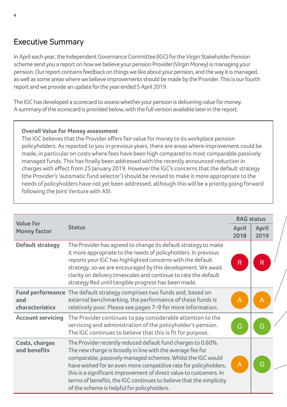# Executive Summary

In April each year, the Independent Governance Committee (IGC) for the Virgin Stakeholder Pension scheme send you a report on how we believe your pension Provider (Virgin Money) is managing your pension. Our report contains feedback on things we like about your pension, and the way it is managed, as well as some areas where we believe improvements should be made by the Provider. This is our fourth report and we provide an update for the year ended 5 April 2019.

The IGC has developed a scorecard to assess whether your pension is delivering value for money. A summary of the scorecard is provided below, with the full version available later in the report.

## **Overall Value for Money assessment**

The IGC believes that the Provider offers fair value for money to its workplace pension policyholders. As reported to you in previous years, there are areas where improvement could be made, in particular on costs where fees have been high compared to most comparable passively managed funds. This has finally been addressed with the recently announced reduction in charges with effect from 25 January 2019. However the IGC's concerns that the default strategy (the Provider's 'automatic fund selector') should be revised to make it more appropriate to the needs of policyholders have not yet been addressed, although this will be a priority going forward following the Joint Venture with ASI.

| <b>Value for</b>               |                                                                                                                                                                                                                                                                                                                                                                                                                                                           | <b>RAG status</b> |               |
|--------------------------------|-----------------------------------------------------------------------------------------------------------------------------------------------------------------------------------------------------------------------------------------------------------------------------------------------------------------------------------------------------------------------------------------------------------------------------------------------------------|-------------------|---------------|
| <b>Money factor</b>            | <b>Status</b>                                                                                                                                                                                                                                                                                                                                                                                                                                             | April<br>2018     | April<br>2019 |
| <b>Default strategy</b>        | The Provider has agreed to change its default strategy to make<br>it more appropriate to the needs of policyholders. In previous<br>reports your IGC has highlighted concerns with the default<br>strategy, so we are encouraged by this development. We await<br>clarity on delivery timescales and continue to rate the default<br>strategy Red until tangible progress has been made.                                                                  | R                 | R             |
| and<br>characteristics         | Fund performance The default strategy comprises two funds and, based on<br>external benchmarking, the performance of these funds is<br>relatively poor. Please see pages 7-9 for more information.                                                                                                                                                                                                                                                        | Α                 | А             |
| <b>Account servicing</b>       | The Provider continues to pay considerable attention to the<br>servicing and administration of the policyholder's pension.<br>The IGC continues to believe that this is fit for purpose.                                                                                                                                                                                                                                                                  | G                 | G             |
| Costs, charges<br>and benefits | The Provider recently reduced default fund charges to 0.60%.<br>The new charge is broadly in line with the average fee for<br>comparable, passively managed schemes. Whilst the IGC would<br>have wished for an even more competitive rate for policyholders,<br>this is a significant improvement of direct value to customers. In<br>terms of benefits, the IGC continues to believe that the simplicity<br>of the scheme is helpful for policyholders. |                   | G             |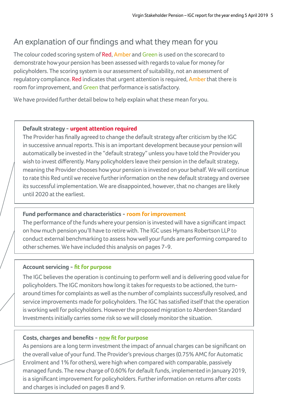# An explanation of our findings and what they mean for you

The colour coded scoring system of Red, Amber and Green is used on the scorecard to demonstrate how your pension has been assessed with regards to value for money for policyholders. The scoring system is our assessment of suitability, not an assessment of regulatory compliance. Red indicates that urgent attention is required, Amber that there is room for improvement, and Green that performance is satisfactory.

We have provided further detail below to help explain what these mean for you.

#### **Default strategy - urgent attention required**

The Provider has finally agreed to change the default strategy after criticism by the IGC in successive annual reports. This is an important development because your pension will automatically be invested in the "default strategy" unless you have told the Provider you wish to invest differently. Many policyholders leave their pension in the default strategy, meaning the Provider chooses how your pension is invested on your behalf. We will continue to rate this Red until we receive further information on the new default strategy and oversee its successful implementation. We are disappointed, however, that no changes are likely until 2020 at the earliest.

#### **Fund performance and characteristics - room for improvement**

The performance of the funds where your pension is invested will have a significant impact on how much pension you'll have to retire with. The IGC uses Hymans Robertson LLP to conduct external benchmarking to assess how well your funds are performing compared to other schemes. We have included this analysis on pages 7-9.

#### **Account servicing - fit for purpose**

The IGC believes the operation is continuing to perform well and is delivering good value for policyholders. The IGC monitors how long it takes for requests to be actioned, the turnaround times for complaints as well as the number of complaints successfully resolved, and service improvements made for policyholders. The IGC has satisfied itself that the operation is working well for policyholders. However the proposed migration to Aberdeen Standard Investments initially carries some risk so we will closely monitor the situation.

#### **Costs, charges and benefits - now fit for purpose**

As pensions are a long term investment the impact of annual charges can be significant on the overall value of your fund. The Provider's previous charges (0.75% AMC for Automatic Enrolment and 1% for others), were high when compared with comparable, passively managed funds. The new charge of 0.60% for default funds, implemented in January 2019, is a significant improvement for policyholders. Further information on returns after costs and charges is included on pages 8 and 9.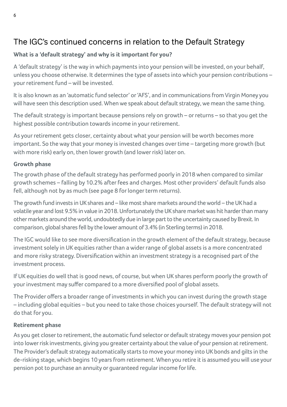# The IGC's continued concerns in relation to the Default Strategy

## **What is a 'default strategy' and why is it important for you?**

A 'default strategy' is the way in which payments into your pension will be invested, on your behalf, unless you choose otherwise. It determines the type of assets into which your pension contributions – your retirement fund – will be invested.

It is also known as an 'automatic fund selector' or 'AFS', and in communications from Virgin Money you will have seen this description used. When we speak about default strategy, we mean the same thing.

The default strategy is important because pensions rely on growth – or returns – so that you get the highest possible contribution towards income in your retirement.

As your retirement gets closer, certainty about what your pension will be worth becomes more important. So the way that your money is invested changes over time – targeting more growth (but with more risk) early on, then lower growth (and lower risk) later on.

#### **Growth phase**

The growth phase of the default strategy has performed poorly in 2018 when compared to similar growth schemes – falling by 10.2% after fees and charges. Most other providers' default funds also fell, although not by as much (see page 8 for longer term returns).

The growth fund invests in UK shares and – like most share markets around the world – the UK had a volatile year and lost 9.5% in value in 2018. Unfortunately the UK share market was hit harder than many other markets around the world, undoubtedly due in large part to the uncertainty caused by Brexit. In comparison, global shares fell by the lower amount of 3.4% (in Sterling terms) in 2018.

The IGC would like to see more diversification in the growth element of the default strategy, because investment solely in UK equities rather than a wider range of global assets is a more concentrated and more risky strategy. Diversification within an investment strategy is a recognised part of the investment process.

If UK equities do well that is good news, of course, but when UK shares perform poorly the growth of your investment may suffer compared to a more diversified pool of global assets.

The Provider offers a broader range of investments in which you can invest during the growth stage – including global equities – but you need to take those choices yourself. The default strategy will not do that for you.

## **Retirement phase**

As you get closer to retirement, the automatic fund selector or default strategy moves your pension pot into lower risk investments, giving you greater certainty about the value of your pension at retirement. The Provider's default strategy automatically starts to move your money into UK bonds and gilts in the de-risking stage, which begins 10 years from retirement. When you retire it is assumed you will use your pension pot to purchase an annuity or guaranteed regular income for life.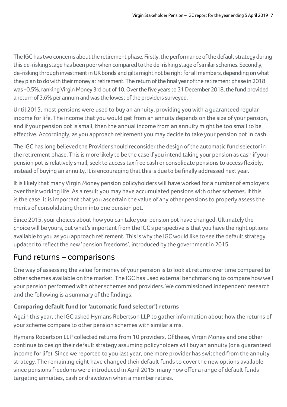The IGC has two concerns about the retirement phase. Firstly, the performance of the default strategy during this de-risking stage has been poor when compared to the de-risking stage of similar schemes. Secondly, de-risking through investment in UK bonds and gilts might not be right for all members, depending on what they plan to do with their money at retirement. The return of the final year of the retirement phase in 2018 was -0.5%, ranking Virgin Money 3rd out of 10. Over the five years to 31 December 2018, the fund provided a return of 3.6% per annum and was the lowest of the providers surveyed.

Until 2015, most pensions were used to buy an annuity, providing you with a guaranteed regular income for life. The income that you would get from an annuity depends on the size of your pension, and if your pension pot is small, then the annual income from an annuity might be too small to be effective. Accordingly, as you approach retirement you may decide to take your pension pot in cash.

The IGC has long believed the Provider should reconsider the design of the automatic fund selector in the retirement phase. This is more likely to be the case if you intend taking your pension as cash if your pension pot is relatively small, seek to access tax free cash or consolidate pensions to access flexibly, instead of buying an annuity, It is encouraging that this is due to be finally addressed next year.

It is likely that many Virgin Money pension policyholders will have worked for a number of employers over their working life. As a result you may have accumulated pensions with other schemes. If this is the case, it is important that you ascertain the value of any other pensions to properly assess the merits of consolidating them into one pension pot.

Since 2015, your choices about how you can take your pension pot have changed. Ultimately the choice will be yours, but what's important from the IGC's perspective is that you have the right options available to you as you approach retirement. This is why the IGC would like to see the default strategy updated to reflect the new 'pension freedoms', introduced by the government in 2015.

# Fund returns – comparisons

One way of assessing the value for money of your pension is to look at returns over time compared to other schemes available on the market. The IGC has used external benchmarking to compare how well your pension performed with other schemes and providers. We commissioned independent research and the following is a summary of the findings.

# **Comparing default fund (or 'automatic fund selector') returns**

Again this year, the IGC asked Hymans Robertson LLP to gather information about how the returns of your scheme compare to other pension schemes with similar aims.

Hymans Robertson LLP collected returns from 10 providers. Of these, Virgin Money and one other continue to design their default strategy assuming policyholders will buy an annuity (or a guaranteed income for life). Since we reported to you last year, one more provider has switched from the annuity strategy. The remaining eight have changed their default funds to cover the new options available since pensions freedoms were introduced in April 2015: many now offer a range of default funds targeting annuities, cash or drawdown when a member retires.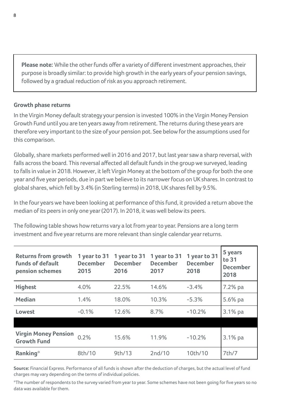**Please note:** While the other funds offer a variety of different investment approaches, their purpose is broadly similar: to provide high growth in the early years of your pension savings, followed by a gradual reduction of risk as you approach retirement.

#### **Growth phase returns**

In the Virgin Money default strategy your pension is invested 100% in the Virgin Money Pension Growth Fund until you are ten years away from retirement. The returns during these years are therefore very important to the size of your pension pot. See below for the assumptions used for this comparison.

Globally, share markets performed well in 2016 and 2017, but last year saw a sharp reversal, with falls across the board. This reversal affected all default funds in the group we surveyed, leading to falls in value in 2018. However, it left Virgin Money at the bottom of the group for both the one year and five year periods, due in part we believe to its narrower focus on UK shares. In contrast to global shares, which fell by 3.4% (in Sterling terms) in 2018, UK shares fell by 9.5%.

In the four years we have been looking at performance of this fund, it provided a return above the median of its peers in only one year (2017). In 2018, it was well below its peers.

The following table shows how returns vary a lot from year to year. Pensions are a long term investment and five year returns are more relevant than single calendar year returns.

| <b>Returns from growth</b><br><b>funds of default</b><br>pension schemes | 1 year to 31<br><b>December</b><br>2015 | 1 year to 31<br><b>December</b><br>2016 | 1 year to 31<br><b>December</b><br>2017 | 1 year to 31<br><b>December</b><br>2018 | 5 years<br>to 31<br><b>December</b><br>2018 |
|--------------------------------------------------------------------------|-----------------------------------------|-----------------------------------------|-----------------------------------------|-----------------------------------------|---------------------------------------------|
| <b>Highest</b>                                                           | 4.0%                                    | 22.5%                                   | 14.6%                                   | $-3.4%$                                 | 7.2% pa                                     |
| Median                                                                   | 1.4%                                    | 18.0%                                   | 10.3%                                   | $-5.3%$                                 | 5.6% pa                                     |
| Lowest                                                                   | $-0.1%$                                 | 12.6%                                   | 8.7%                                    | $-10.2%$                                | $3.1\%$ pa                                  |
|                                                                          |                                         |                                         |                                         |                                         |                                             |
| <b>Virgin Money Pension</b><br><b>Growth Fund</b>                        | 0.2%                                    | 15.6%                                   | 11.9%                                   | $-10.2%$                                | $3.1\%$ pa                                  |
| Ranking*                                                                 | 8th/10                                  | 9th/13                                  | 2nd/10                                  | 10th/10                                 | 7th/7                                       |

**Source:** Financial Express. Performance of all funds is shown after the deduction of charges, but the actual level of fund charges may vary depending on the terms of individual policies.

\*The number of respondents to the survey varied from year to year. Some schemes have not been going for five years so no data was available for them.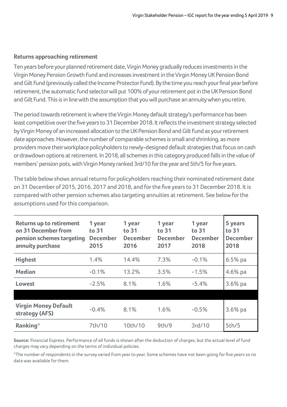#### **Returns approaching retirement**

Ten years before your planned retirement date, Virgin Money gradually reduces investments in the Virgin Money Pension Growth Fund and increases investment in the Virgin Money UK Pension Bond and Gilt Fund (previously called the Income Protector Fund). By the time you reach your final year before retirement, the automatic fund selector will put 100% of your retirement pot in the UK Pension Bond and Gilt Fund. This is in line with the assumption that you will purchase an annuity when you retire.

The period towards retirement is where the Virgin Money default strategy's performance has been least competitive over the five years to 31 December 2018. It reflects the investment strategy selected by Virgin Money of an increased allocation to the UK Pension Bond and Gilt Fund as your retirement date approaches. However, the number of comparable schemes is small and shrinking, as more providers move their workplace policyholders to newly-designed default strategies that focus on cash or drawdown options at retirement. In 2018, all schemes in this category produced falls in the value of members' pension pots, with Virgin Money ranked 3rd/10 for the year and 5th/5 for five years.

The table below shows annual returns for policyholders reaching their nominated retirement date on 31 December of 2015, 2016, 2017 and 2018, and for the five years to 31 December 2018. It is compared with other pension schemes also targeting annuities at retirement. See below for the assumptions used for this comparison.

| <b>Returns up to retirement</b><br>on 31 December from<br>pension schemes targeting<br>annuity purchase | 1 year<br>to 31<br><b>December</b><br>2015 | 1 year<br>to 31<br><b>December</b><br>2016 | 1 year<br>to 31<br><b>December</b><br>2017 | 1 year<br>to 31<br><b>December</b><br>2018 | 5 years<br>to 31<br><b>December</b><br>2018 |
|---------------------------------------------------------------------------------------------------------|--------------------------------------------|--------------------------------------------|--------------------------------------------|--------------------------------------------|---------------------------------------------|
| <b>Highest</b>                                                                                          | 1.4%                                       | 14.4%                                      | 7.3%                                       | $-0.1%$                                    | $6.5%$ pa                                   |
| Median                                                                                                  | $-0.1%$                                    | 13.2%                                      | 3.5%                                       | $-1.5%$                                    | 4.6% pa                                     |
| Lowest                                                                                                  | $-2.5%$                                    | 8.1%                                       | 1.6%                                       | $-5.4%$                                    | $3.6\%$ pa                                  |
|                                                                                                         |                                            |                                            |                                            |                                            |                                             |
| <b>Virgin Money Default</b><br>strategy (AFS)                                                           | $-0.4%$                                    | 8.1%                                       | 1.6%                                       | $-0.5%$                                    | $3.6\%$ pa                                  |
| Ranking*                                                                                                | 7th/10                                     | 10th/10                                    | 9th/9                                      | 3rd/10                                     | 5th/5                                       |

**Source:** Financial Express. Performance of all funds is shown after the deduction of charges, but the actual level of fund charges may vary depending on the terms of individual policies.

\*The number of respondents in the survey varied from year to year. Some schemes have not been going for five years so no data was available for them.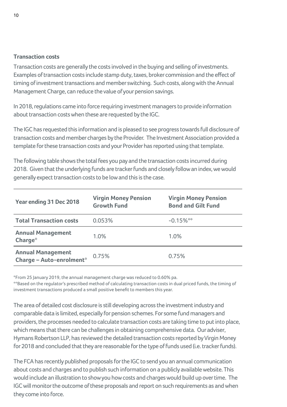#### **Transaction costs**

Transaction costs are generally the costs involved in the buying and selling of investments. Examples of transaction costs include stamp duty, taxes, broker commission and the effect of timing of investment transactions and member switching. Such costs, along with the Annual Management Charge, can reduce the value of your pension savings.

In 2018, regulations came into force requiring investment managers to provide information about transaction costs when these are requested by the IGC.

The IGC has requested this information and is pleased to see progress towards full disclosure of transaction costs and member charges by the Provider. The Investment Association provided a template for these transaction costs and your Provider has reported using that template.

The following table shows the total fees you pay and the transaction costs incurred during 2018. Given that the underlying funds are tracker funds and closely follow an index, we would generally expect transaction costs to be low and this is the case.

| Year ending 31 Dec 2018                              | <b>Virgin Money Pension</b><br><b>Growth Fund</b> | <b>Virgin Money Pension</b><br><b>Bond and Gilt Fund</b> |
|------------------------------------------------------|---------------------------------------------------|----------------------------------------------------------|
| <b>Total Transaction costs</b>                       | 0.053%                                            | $-0.15\%$ **                                             |
| <b>Annual Management</b><br>Charge $*$               | 1.0%                                              | 1.0%                                                     |
| <b>Annual Management</b><br>Charge - Auto-enrolment* | 0.75%                                             | 0.75%                                                    |

\*From 25 January 2019, the annual management charge was reduced to 0.60% pa.

\*\*Based on the regulator's prescribed method of calculating transaction costs in dual priced funds, the timing of investment transactions produced a small positive benefit to members this year.

The area of detailed cost disclosure is still developing across the investment industry and comparable data is limited, especially for pension schemes. For some fund managers and providers, the processes needed to calculate transaction costs are taking time to put into place, which means that there can be challenges in obtaining comprehensive data. Our adviser, Hymans Robertson LLP, has reviewed the detailed transaction costs reported by Virgin Money for 2018 and concluded that they are reasonable for the type of funds used (i.e. tracker funds).

The FCA has recently published proposals for the IGC to send you an annual communication about costs and charges and to publish such information on a publicly available website. This would include an illustration to show you how costs and charges would build up over time. The IGC will monitor the outcome of these proposals and report on such requirements as and when they come into force.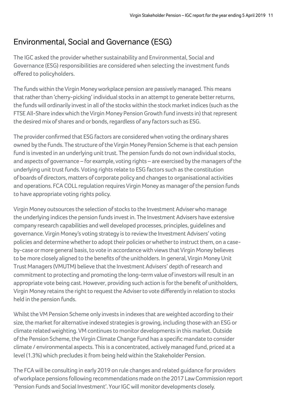# Environmental, Social and Governance (ESG)

The IGC asked the provider whether sustainability and Environmental, Social and Governance (ESG) responsibilities are considered when selecting the investment funds offered to policyholders.

The funds within the Virgin Money workplace pension are passively managed. This means that rather than 'cherry-picking' individual stocks in an attempt to generate better returns, the funds will ordinarily invest in all of the stocks within the stock market indices (such as the FTSE All-Share index which the Virgin Money Pension Growth fund invests in) that represent the desired mix of shares and or bonds, regardless of any factors such as ESG.

The provider confirmed that ESG factors are considered when voting the ordinary shares owned by the Funds. The structure of the Virgin Money Pension Scheme is that each pension fund is invested in an underlying unit trust. The pension funds do not own individual stocks, and aspects of governance – for example, voting rights – are exercised by the managers of the underlying unit trust funds. Voting rights relate to ESG factors such as the constitution of boards of directors, matters of corporate policy and changes to organisational activities and operations. FCA COLL regulation requires Virgin Money as manager of the pension funds to have appropriate voting rights policy.

Virgin Money outsources the selection of stocks to the Investment Adviser who manage the underlying indices the pension funds invest in. The Investment Advisers have extensive company research capabilities and well developed processes, principles, guidelines and governance. Virgin Money's voting strategy is to review the Investment Advisers' voting policies and determine whether to adopt their policies or whether to instruct them, on a caseby-case or more general basis, to vote in accordance with views that Virgin Money believes to be more closely aligned to the benefits of the unitholders. In general, Virgin Money Unit Trust Managers (VMUTM) believe that the Investment Advisers' depth of research and commitment to protecting and promoting the long-term value of investors will result in an appropriate vote being cast. However, providing such action is for the benefit of unitholders, Virgin Money retains the right to request the Adviser to vote differently in relation to stocks held in the pension funds.

Whilst the VM Pension Scheme only invests in indexes that are weighted according to their size, the market for alternative indexed strategies is growing, including those with an ESG or climate related weighting. VM continues to monitor developments in this market. Outside of the Pension Scheme, the Virgin Climate Change Fund has a specific mandate to consider climate / environmental aspects. This is a concentrated, actively managed fund, priced at a level (1.3%) which precludes it from being held within the Stakeholder Pension.

The FCA will be consulting in early 2019 on rule changes and related guidance for providers of workplace pensions following recommendations made on the 2017 Law Commission report 'Pension Funds and Social Investment'. Your IGC will monitor developments closely.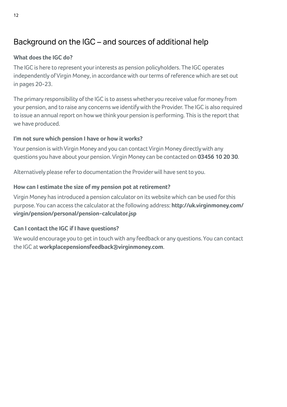# Background on the IGC – and sources of additional help

# **What does the IGC do?**

The IGC is here to represent your interests as pension policyholders. The IGC operates independently of Virgin Money, in accordance with our terms of reference which are set out in pages 20-23.

The primary responsibility of the IGC is to assess whether you receive value for money from your pension, and to raise any concerns we identify with the Provider. The IGC is also required to issue an annual report on how we think your pension is performing. This is the report that we have produced.

## **I'm not sure which pension I have or how it works?**

Your pension is with Virgin Money and you can contact Virgin Money directly with any questions you have about your pension. Virgin Money can be contacted on **03456 10 20 30**.

Alternatively please refer to documentation the Provider will have sent to you.

# **How can I estimate the size of my pension pot at retirement?**

Virgin Money has introduced a pension calculator on its website which can be used for this purpose. You can access the calculator at the following address: **http://uk.virginmoney.com/ virgin/pension/personal/pension-calculator.jsp** 

# **Can I contact the IGC if I have questions?**

We would encourage you to get in touch with any feedback or any questions. You can contact the IGC at **workplacepensionsfeedback@virginmoney.com**.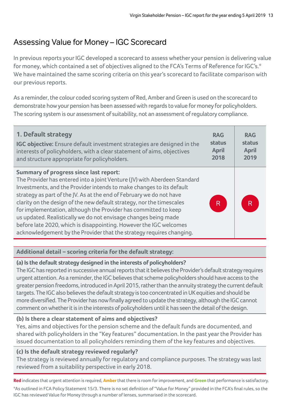# Assessing Value for Money – IGC Scorecard

In previous reports your IGC developed a scorecard to assess whether your pension is delivering value for money, which contained a set of objectives aligned to the FCA's Terms of Reference for IGC's.\* We have maintained the same scoring criteria on this year's scorecard to facilitate comparison with our previous reports.

As a reminder, the colour coded scoring system of Red, Amber and Green is used on the scorecard to demonstrate how your pension has been assessed with regards to value for money for policyholders. The scoring system is our assessment of suitability, not an assessment of regulatory compliance.

| 1. Default strategy                                                                                                                                                                                                                                                                                                                                                                                                                                                                                                                                                                                                              | <b>RAG</b>   | <b>RAG</b>   |
|----------------------------------------------------------------------------------------------------------------------------------------------------------------------------------------------------------------------------------------------------------------------------------------------------------------------------------------------------------------------------------------------------------------------------------------------------------------------------------------------------------------------------------------------------------------------------------------------------------------------------------|--------------|--------------|
| <b>IGC objective:</b> Ensure default investment strategies are designed in the                                                                                                                                                                                                                                                                                                                                                                                                                                                                                                                                                   | status       | status       |
| interests of policyholders, with a clear statement of aims, objectives                                                                                                                                                                                                                                                                                                                                                                                                                                                                                                                                                           | <b>April</b> | <b>April</b> |
| and structure appropriate for policyholders.                                                                                                                                                                                                                                                                                                                                                                                                                                                                                                                                                                                     | 2018         | 2019         |
| Summary of progress since last report:<br>The Provider has entered into a Joint Venture (JV) with Aberdeen Standard<br>Investments, and the Provider intends to make changes to its default<br>strategy as part of the JV. As at the end of February we do not have<br>clarity on the design of the new default strategy, nor the timescales<br>for implementation, although the Provider has committed to keep<br>us updated. Realistically we do not envisage changes being made<br>before late 2020, which is disappointing. However the IGC welcomes<br>acknowledgement by the Provider that the strategy requires changing. | ΙR.          | R            |

## **Additional detail – scoring criteria for the default strategy:**

## **(a) Is the default strategy designed in the interests of policyholders?**

The IGC has reported in successive annual reports that it believes the Provider's default strategy requires urgent attention. As a reminder, the IGC believes that scheme policyholders should have access to the greater pension freedoms, introduced in April 2015, rather than the annuity strategy the current default targets. The IGC also believes the default strategy is too concentrated in UK equities and should be more diversified. The Provider has now finally agreed to update the strategy, although the IGC cannot comment on whether it is in the interests of policyholders until it has seen the detail of the design.

## **(b) Is there a clear statement of aims and objectives?**

Yes, aims and objectives for the pension scheme and the default funds are documented, and shared with policyholders in the "Key features" documentation. In the past year the Provider has issued documentation to all policyholders reminding them of the key features and objectives.

## **(c) Is the default strategy reviewed regularly?**

The strategy is reviewed annually for regulatory and compliance purposes. The strategy was last reviewed from a suitability perspective in early 2018.

**Red** indicates that urgent attention is required, **Amber** that there is room for improvement, and **Green** that performance is satisfactory. \*As outlined in FCA Policy Statement 15/3. There is no set definition of "Value for Money" provided in the FCA's final rules, so the IGC has reviewed Value for Money through a number of lenses, summarised in the scorecard.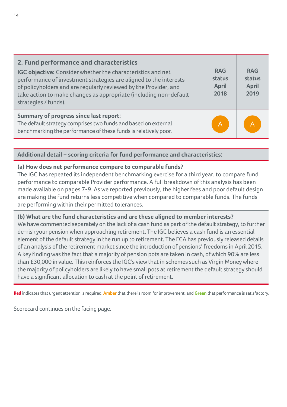| 2. Fund performance and characteristics<br>IGC objective: Consider whether the characteristics and net<br>performance of investment strategies are aligned to the interests<br>of policyholders and are regularly reviewed by the Provider, and<br>take action to make changes as appropriate (including non-default<br>strategies / funds). | <b>RAG</b><br>status<br><b>April</b><br>2018 | <b>RAG</b><br>status<br><b>April</b><br>2019 |
|----------------------------------------------------------------------------------------------------------------------------------------------------------------------------------------------------------------------------------------------------------------------------------------------------------------------------------------------|----------------------------------------------|----------------------------------------------|
| Summary of progress since last report:<br>The default strategy comprises two funds and based on external<br>benchmarking the performance of these funds is relatively poor.                                                                                                                                                                  | A                                            | A                                            |

#### **Additional detail – scoring criteria for fund performance and characteristics:**

#### **(a) How does net performance compare to comparable funds?**

The IGC has repeated its independent benchmarking exercise for a third year, to compare fund performance to comparable Provider performance. A full breakdown of this analysis has been made available on pages 7-9. As we reported previously, the higher fees and poor default design are making the fund returns less competitive when compared to comparable funds. The funds are performing within their permitted tolerances.

#### **(b) What are the fund characteristics and are these aligned to member interests?**

We have commented separately on the lack of a cash fund as part of the default strategy, to further de-risk your pension when approaching retirement. The IGC believes a cash fund is an essential element of the default strategy in the run up to retirement. The FCA has previously released details of an analysis of the retirement market since the introduction of pensions' freedoms in April 2015. A key finding was the fact that a majority of pension pots are taken in cash, of which 90% are less than £30,000 in value. This reinforces the IGC's view that in schemes such as Virgin Money where the majority of policyholders are likely to have small pots at retirement the default strategy should have a significant allocation to cash at the point of retirement.

**Red** indicates that urgent attention is required, **Amber** that there is room for improvement, and **Green** that performance is satisfactory.

Scorecard continues on the facing page.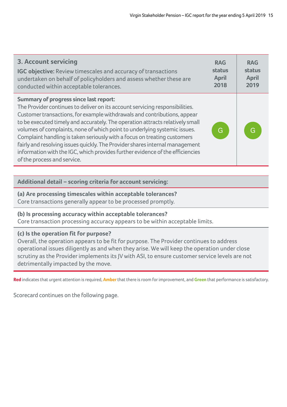| 3. Account servicing                                                                                                                                                                                                                                                                                                                                                                                                                                                                                                                                                                                                                         | <b>RAG</b>   | <b>RAG</b>   |
|----------------------------------------------------------------------------------------------------------------------------------------------------------------------------------------------------------------------------------------------------------------------------------------------------------------------------------------------------------------------------------------------------------------------------------------------------------------------------------------------------------------------------------------------------------------------------------------------------------------------------------------------|--------------|--------------|
| <b>IGC objective:</b> Review timescales and accuracy of transactions                                                                                                                                                                                                                                                                                                                                                                                                                                                                                                                                                                         | status       | status       |
| undertaken on behalf of policyholders and assess whether these are                                                                                                                                                                                                                                                                                                                                                                                                                                                                                                                                                                           | <b>April</b> | <b>April</b> |
| conducted within acceptable tolerances.                                                                                                                                                                                                                                                                                                                                                                                                                                                                                                                                                                                                      | 2018         | 2019         |
| Summary of progress since last report:<br>The Provider continues to deliver on its account servicing responsibilities.<br>Customer transactions, for example withdrawals and contributions, appear<br>to be executed timely and accurately. The operation attracts relatively small<br>volumes of complaints, none of which point to underlying systemic issues.<br>Complaint handling is taken seriously with a focus on treating customers<br>fairly and resolving issues quickly. The Provider shares internal management<br>information with the IGC, which provides further evidence of the efficiencies<br>of the process and service. | G            | G            |

#### **Additional detail – scoring criteria for account servicing:**

## **(a) Are processing timescales within acceptable tolerances?**

Core transactions generally appear to be processed promptly.

#### **(b) Is processing accuracy within acceptable tolerances?**

Core transaction processing accuracy appears to be within acceptable limits.

#### **(c) Is the operation fit for purpose?**

Overall, the operation appears to be fit for purpose. The Provider continues to address operational issues diligently as and when they arise. We will keep the operation under close scrutiny as the Provider implements its JV with ASI, to ensure customer service levels are not detrimentally impacted by the move.

**Red** indicates that urgent attention is required, **Amber** that there is room for improvement, and **Green** that performance is satisfactory.

Scorecard continues on the following page.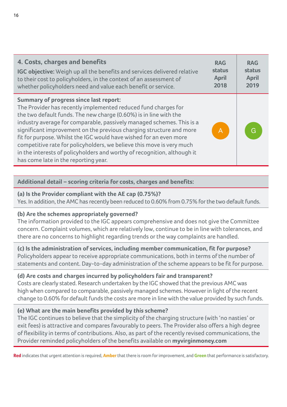| 4. Costs, charges and benefits                                                                                                                                                                                                                                                                                                                                                                                                                                                                                                                                                                          | <b>RAG</b>   | <b>RAG</b>   |
|---------------------------------------------------------------------------------------------------------------------------------------------------------------------------------------------------------------------------------------------------------------------------------------------------------------------------------------------------------------------------------------------------------------------------------------------------------------------------------------------------------------------------------------------------------------------------------------------------------|--------------|--------------|
| IGC objective: Weigh up all the benefits and services delivered relative                                                                                                                                                                                                                                                                                                                                                                                                                                                                                                                                | status       | status       |
| to their cost to policyholders, in the context of an assessment of                                                                                                                                                                                                                                                                                                                                                                                                                                                                                                                                      | <b>April</b> | <b>April</b> |
| whether policyholders need and value each benefit or service.                                                                                                                                                                                                                                                                                                                                                                                                                                                                                                                                           | 2018         | 2019         |
| <b>Summary of progress since last report:</b><br>The Provider has recently implemented reduced fund charges for<br>the two default funds. The new charge (0.60%) is in line with the<br>industry average for comparable, passively managed schemes. This is a<br>significant improvement on the previous charging structure and more<br>fit for purpose. Whilst the IGC would have wished for an even more<br>competitive rate for policyholders, we believe this move is very much<br>in the interests of policyholders and worthy of recognition, although it<br>has come late in the reporting year. | A            | G            |

#### **Additional detail – scoring criteria for costs, charges and benefits:**

#### **(a) Is the Provider compliant with the AE cap (0.75%)?**

Yes. In addition, the AMC has recently been reduced to 0.60% from 0.75% for the two default funds.

#### **(b) Are the schemes appropriately governed?**

The information provided to the IGC appears comprehensive and does not give the Committee concern. Complaint volumes, which are relatively low, continue to be in line with tolerances, and there are no concerns to highlight regarding trends or the way complaints are handled.

**(c) Is the administration of services, including member communication, fit for purpose?** Policyholders appear to receive appropriate communications, both in terms of the number of statements and content. Day-to-day administration of the scheme appears to be fit for purpose.

#### **(d) Are costs and charges incurred by policyholders fair and transparent?**

Costs are clearly stated. Research undertaken by the IGC showed that the previous AMC was high when compared to comparable, passively managed schemes. However in light of the recent change to 0.60% for default funds the costs are more in line with the value provided by such funds.

#### **(e) What are the main benefits provided by this scheme?**

The IGC continues to believe that the simplicity of the charging structure (with 'no nasties' or exit fees) is attractive and compares favourably to peers. The Provider also offers a high degree of flexibility in terms of contributions. Also, as part of the recently revised communications, the Provider reminded policyholders of the benefits available on **myvirginmoney.com**

**Red** indicates that urgent attention is required, **Amber** that there is room for improvement, and **Green** that performance is satisfactory.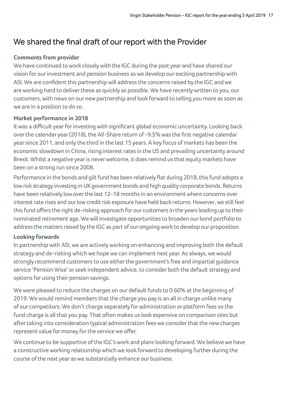# We shared the final draft of our report with the Provider

## **Comments from provider**

We have continued to work closely with the IGC during the past year and have shared our vision for our investment and pension business as we develop our exciting partnership with ASI. We are confident this partnership will address the concerns raised by the IGC and we are working hard to deliver these as quickly as possible. We have recently written to you, our customers, with news on our new partnership and look forward to telling you more as soon as we are in a position to do so.

## **Market performance in 2018**

It was a difficult year for investing with significant global economic uncertainty. Looking back over the calendar year (2018), the All-Share return of -9.5% was the first negative calendar year since 2011, and only the third in the last 15 years. A key focus of markets has been the economic slowdown in China, rising interest rates in the US and prevailing uncertainty around Brexit. Whilst a negative year is never welcome, it does remind us that equity markets have been on a strong run since 2008.

Performance in the bonds and gilt fund has been relatively flat during 2018, this fund adopts a low risk strategy investing in UK government bonds and high quality corporate bonds. Returns have been relatively low over the last 12-18 months in an environment where concerns over interest rate rises and our low credit risk exposure have held back returns. However, we still feel this fund offers the right de-risking approach for our customers in the years leading up to their nominated retirement age. We will investigate opportunities to broaden our bond portfolio to address the matters raised by the IGC as part of our ongoing work to develop our proposition.

## **Looking forwards**

In partnership with ASI, we are actively working on enhancing and improving both the default strategy and de-risking which we hope we can implement next year. As always, we would strongly recommend customers to use either the government's free and impartial guidance service 'Pension Wise' or seek independent advice, to consider both the default strategy and options for using their pension savings.

We were pleased to reduce the charges on our default funds to 0.60% at the beginning of 2019. We would remind members that the charge you pay is an all in charge unlike many of our competitors. We don't charge separately for administration or platform fees so the fund charge is all that you pay. That often makes us look expensive on comparison sites but after taking into consideration typical administration fees we consider that the new charges represent value for money for the service we offer.

We continue to be supportive of the IGC's work and plans looking forward. We believe we have a constructive working relationship which we look forward to developing further during the course of the next year as we substantially enhance our business.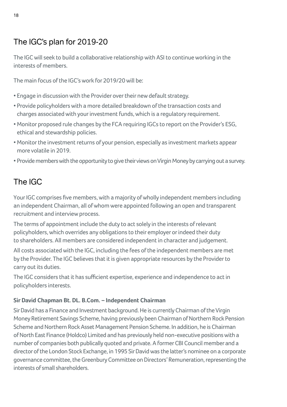# The IGC's plan for 2019-20

The IGC will seek to build a collaborative relationship with ASI to continue working in the interests of members.

The main focus of the IGC's work for 2019/20 will be:

- Engage in discussion with the Provider over their new default strategy.
- Provide policyholders with a more detailed breakdown of the transaction costs and charges associated with your investment funds, which is a regulatory requirement.
- Monitor proposed rule changes by the FCA requiring IGCs to report on the Provider's ESG, ethical and stewardship policies.
- Monitor the investment returns of your pension, especially as investment markets appear more volatile in 2019.
- Provide members with the opportunity to give their views on Virgin Money by carrying out a survey.

# The IGC

Your IGC comprises five members, with a majority of wholly independent members including an independent Chairman, all of whom were appointed following an open and transparent recruitment and interview process.

The terms of appointment include the duty to act solely in the interests of relevant policyholders, which overrides any obligations to their employer or indeed their duty to shareholders. All members are considered independent in character and judgement.

All costs associated with the IGC, including the fees of the independent members are met by the Provider. The IGC believes that it is given appropriate resources by the Provider to carry out its duties.

The IGC considers that it has sufficient expertise, experience and independence to act in policyholders interests.

# **Sir David Chapman Bt. DL. B.Com. – Independent Chairman**

Sir David has a Finance and Investment background. He is currently Chairman of the Virgin Money Retirement Savings Scheme, having previously been Chairman of Northern Rock Pension Scheme and Northern Rock Asset Management Pension Scheme. In addition, he is Chairman of North East Finance (Holdco) Limited and has previously held non-executive positions with a number of companies both publically quoted and private. A former CBI Council member and a director of the London Stock Exchange, in 1995 Sir David was the latter's nominee on a corporate governance committee, the Greenbury Committee on Directors' Remuneration, representing the interests of small shareholders.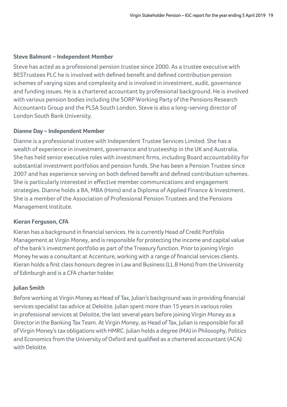### **Steve Balmont – Independent Member**

Steve has acted as a professional pension trustee since 2000. As a trustee executive with BESTrustees PLC he is involved with defined benefit and defined contribution pension schemes of varying sizes and complexity and is involved in investment, audit, governance and funding issues. He is a chartered accountant by professional background. He is involved with various pension bodies including the SORP Working Party of the Pensions Research Accountants Group and the PLSA South London. Steve is also a long-serving director of London South Bank University.

#### **Dianne Day – Independent Member**

Dianne is a professional trustee with Independent Trustee Services Limited. She has a wealth of experience in investment, governance and trusteeship in the UK and Australia. She has held senior executive roles with investment firms, including Board accountability for substantial investment portfolios and pension funds. She has been a Pension Trustee since 2007 and has experience serving on both defined benefit and defined contribution schemes. She is particularly interested in effective member communications and engagement strategies. Dianne holds a BA, MBA (Hons) and a Diploma of Applied Finance & Investment. She is a member of the Association of Professional Pension Trustees and the Pensions Management Institute.

## **Kieran Ferguson, CFA**

Kieran has a background in financial services. He is currently Head of Credit Portfolio Management at Virgin Money, and is responsible for protecting the income and capital value of the bank's investment portfolio as part of the Treasury function. Prior to joining Virgin Money he was a consultant at Accenture, working with a range of financial services clients. Kieran holds a first class honours degree in Law and Business (LL.B Hons) from the University of Edinburgh and is a CFA charter holder.

# **Julian Smith**

Before working at Virgin Money as Head of Tax, Julian's background was in providing financial services specialist tax advice at Deloitte. Julian spent more than 15 years in various roles in professional services at Deloitte, the last several years before joining Virgin Money as a Director in the Banking Tax Team. At Virgin Money, as Head of Tax, Julian is responsible for all of Virgin Money's tax obligations with HMRC. Julian holds a degree (MA) in Philosophy, Politics and Economics from the University of Oxford and qualified as a chartered accountant (ACA) with Deloitte.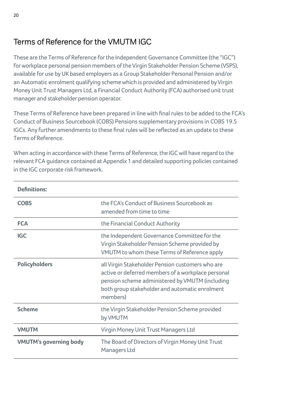# Terms of Reference for the VMUTM IGC

These are the Terms of Reference for the Independent Governance Committee (the "IGC") for workplace personal pension members of the Virgin Stakeholder Pension Scheme (VSPS), available for use by UK based employers as a Group Stakeholder Personal Pension and/or an Automatic enrolment qualifying scheme which is provided and administered by Virgin Money Unit Trust Managers Ltd, a Financial Conduct Authority (FCA) authorised unit trust manager and stakeholder pension operator.

These Terms of Reference have been prepared in line with final rules to be added to the FCA's Conduct of Business Sourcebook (COBS) Pensions supplementary provisions in COBS 19.5 IGCs. Any further amendments to these final rules will be reflected as an update to these Terms of Reference.

When acting in accordance with these Terms of Reference, the IGC will have regard to the relevant FCA guidance contained at Appendix 1 and detailed supporting policies contained in the IGC corporate risk framework.

| <b>Definitions:</b>           |                                                                                                                                                                                                                         |
|-------------------------------|-------------------------------------------------------------------------------------------------------------------------------------------------------------------------------------------------------------------------|
| <b>COBS</b>                   | the FCA's Conduct of Business Sourcebook as<br>amended from time to time                                                                                                                                                |
| <b>FCA</b>                    | the Financial Conduct Authority                                                                                                                                                                                         |
| <b>IGC</b>                    | the Independent Governance Committee for the<br>Virgin Stakeholder Pension Scheme provided by<br>VMUTM to whom these Terms of Reference apply                                                                           |
| <b>Policyholders</b>          | all Virgin Stakeholder Pension customers who are<br>active or deferred members of a workplace personal<br>pension scheme administered by VMUTM (including<br>both group stakeholder and automatic enrolment<br>members) |
| <b>Scheme</b>                 | the Virgin Stakeholder Pension Scheme provided<br>by VMUTM                                                                                                                                                              |
| <b>VMUTM</b>                  | Virgin Money Unit Trust Managers Ltd                                                                                                                                                                                    |
| <b>VMUTM's governing body</b> | The Board of Directors of Virgin Money Unit Trust<br>Managers Ltd                                                                                                                                                       |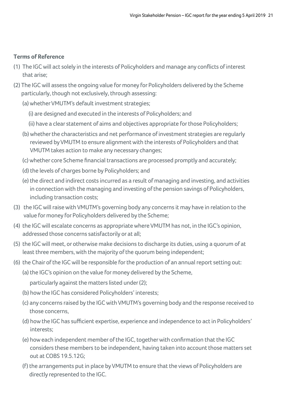### **Terms of Reference**

- (1) The IGC will act solely in the interests of Policyholders and manage any conflicts of interest that arise;
- (2) The IGC will assess the ongoing value for money for Policyholders delivered by the Scheme particularly, though not exclusively, through assessing:
	- (a) whether VMUTM's default investment strategies;
		- (i) are designed and executed in the interests of Policyholders; and
		- (ii) have a clear statement of aims and objectives appropriate for those Policyholders;
	- (b) whether the characteristics and net performance of investment strategies are regularly reviewed by VMUTM to ensure alignment with the interests of Policyholders and that VMUTM takes action to make any necessary changes;
	- (c) whether core Scheme financial transactions are processed promptly and accurately;
	- (d) the levels of charges borne by Policyholders; and
	- (e) the direct and indirect costs incurred as a result of managing and investing, and activities in connection with the managing and investing of the pension savings of Policyholders, including transaction costs;
- (3) the IGC will raise with VMUTM's governing body any concerns it may have in relation to the value for money for Policyholders delivered by the Scheme;
- (4) the IGC will escalate concerns as appropriate where VMUTM has not, in the IGC's opinion, addressed those concerns satisfactorily or at all;
- (5) the IGC will meet, or otherwise make decisions to discharge its duties, using a quorum of at least three members, with the majority of the quorum being independent;
- (6) the Chair of the IGC will be responsible for the production of an annual report setting out:
	- (a) the IGC's opinion on the value for money delivered by the Scheme, particularly against the matters listed under (2);
	- (b) how the IGC has considered Policyholders' interests;
	- (c) any concerns raised by the IGC with VMUTM's governing body and the response received to those concerns,
	- (d) how the IGC has sufficient expertise, experience and independence to act in Policyholders' interests;
	- (e) how each independent member of the IGC, together with confirmation that the IGC considers these members to be independent, having taken into account those matters set out at COBS 19.5.12G;
	- (f) the arrangements put in place by VMUTM to ensure that the views of Policyholders are directly represented to the IGC.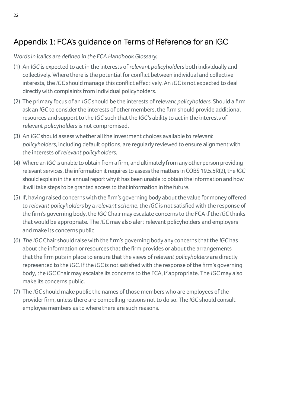# Appendix 1: FCA's guidance on Terms of Reference for an IGC

Words in italics are defined in the FCA Handbook Glossary.

- (1) An IGC is expected to act in the interests of relevant policyholders both individually and collectively. Where there is the potential for conflict between individual and collective interests, the IGC should manage this conflict effectively. An IGC is not expected to deal directly with complaints from individual policyholders.
- (2) The primary focus of an IGC should be the interests of relevant policyholders. Should a firm ask an IGC to consider the interests of other members, the firm should provide additional resources and support to the IGC such that the IGC's ability to act in the interests of relevant policyholders is not compromised.
- (3) An IGC should assess whether all the investment choices available to relevant policyholders, including default options, are regularly reviewed to ensure alignment with the interests of relevant policyholders.
- (4) Where an IGC is unable to obtain from a firm, and ultimately from any other person providing relevant services, the information it requires to assess the matters in COBS 19.5.5R(2), the IGC should explain in the annual report why it has been unable to obtain the information and how it will take steps to be granted access to that information in the future.
- (5) If, having raised concerns with the firm's governing body about the value for money offered to relevant policyholders by a relevant scheme, the IGC is not satisfied with the response of the firm's governing body, the IGC Chair may escalate concerns to the FCA if the IGC thinks that would be appropriate. The IGC may also alert relevant policyholders and employers and make its concerns public.
- (6) The IGC Chair should raise with the firm's governing body any concerns that the IGC has about the information or resources that the firm provides or about the arrangements that the firm puts in place to ensure that the views of relevant policyholders are directly represented to the IGC. If the IGC is not satisfied with the response of the firm's governing body, the IGC Chair may escalate its concerns to the FCA, if appropriate. The IGC may also make its concerns public.
- (7) The IGC should make public the names of those members who are employees of the provider firm, unless there are compelling reasons not to do so. The IGC should consult employee members as to where there are such reasons.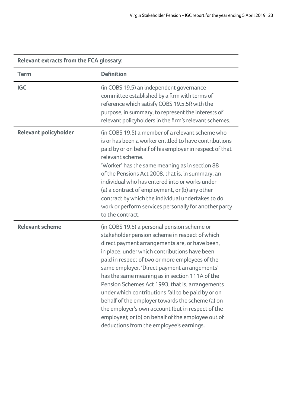| <b>Relevant extracts from the FCA glossary:</b> |                                                                                                                                                                                                                                                                                                                                                                                                                                                                                                                                                                                                                                                                           |  |
|-------------------------------------------------|---------------------------------------------------------------------------------------------------------------------------------------------------------------------------------------------------------------------------------------------------------------------------------------------------------------------------------------------------------------------------------------------------------------------------------------------------------------------------------------------------------------------------------------------------------------------------------------------------------------------------------------------------------------------------|--|
| Term                                            | <b>Definition</b>                                                                                                                                                                                                                                                                                                                                                                                                                                                                                                                                                                                                                                                         |  |
| IGC                                             | (in COBS 19.5) an independent governance<br>committee established by a firm with terms of<br>reference which satisfy COBS 19.5.5R with the<br>purpose, in summary, to represent the interests of<br>relevant policyholders in the firm's relevant schemes.                                                                                                                                                                                                                                                                                                                                                                                                                |  |
| <b>Relevant policyholder</b>                    | (in COBS 19.5) a member of a relevant scheme who<br>is or has been a worker entitled to have contributions<br>paid by or on behalf of his employer in respect of that<br>relevant scheme.<br>'Worker' has the same meaning as in section 88<br>of the Pensions Act 2008, that is, in summary, an<br>individual who has entered into or works under<br>(a) a contract of employment, or (b) any other<br>contract by which the individual undertakes to do<br>work or perform services personally for another party<br>to the contract.                                                                                                                                    |  |
| <b>Relevant scheme</b>                          | (in COBS 19.5) a personal pension scheme or<br>stakeholder pension scheme in respect of which<br>direct payment arrangements are, or have been,<br>in place, under which contributions have been<br>paid in respect of two or more employees of the<br>same employer. 'Direct payment arrangements'<br>has the same meaning as in section 111A of the<br>Pension Schemes Act 1993, that is, arrangements<br>under which contributions fall to be paid by or on<br>behalf of the employer towards the scheme (a) on<br>the employer's own account (but in respect of the<br>employee); or (b) on behalf of the employee out of<br>deductions from the employee's earnings. |  |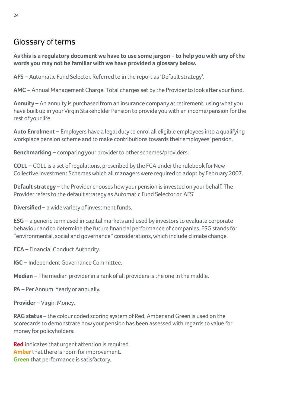# Glossary of terms

**As this is a regulatory document we have to use some jargon – to help you with any of the words you may not be familiar with we have provided a glossary below.**

**AFS –** Automatic Fund Selector. Referred to in the report as 'Default strategy'.

**AMC –** Annual Management Charge. Total charges set by the Provider to look after your fund.

**Annuity –** An annuity is purchased from an insurance company at retirement, using what you have built up in your Virgin Stakeholder Pension to provide you with an income/pension for the rest of your life.

**Auto Enrolment –** Employers have a legal duty to enrol all eligible employees into a qualifying workplace pension scheme and to make contributions towards their employees' pension.

**Benchmarking –** comparing your provider to other schemes/providers.

**COLL –** COLL is a set of regulations, prescribed by the FCA under the rulebook for New Collective Investment Schemes which all managers were required to adopt by February 2007.

**Default strategy –** the Provider chooses how your pension is invested on your behalf. The Provider refers to the default strategy as Automatic Fund Selector or 'AFS'.

**Diversified –** a wide variety of investment funds.

**ESG –** a generic term used in capital markets and used by investors to evaluate corporate behaviour and to determine the future financial performance of companies. ESG stands for "environmental, social and governance" considerations, which include climate change.

**FCA –** Financial Conduct Authority.

**IGC –** Independent Governance Committee.

**Median –** The median provider in a rank of all providers is the one in the middle.

**PA –** Per Annum. Yearly or annually.

**Provider –** Virgin Money.

**RAG status** – the colour coded scoring system of Red, Amber and Green is used on the scorecards to demonstrate how your pension has been assessed with regards to value for money for policyholders:

**Red** indicates that urgent attention is required. **Amber** that there is room for improvement. **Green** that performance is satisfactory.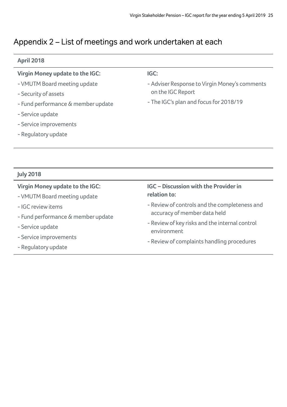# Appendix 2 – List of meetings and work undertaken at each

## **April 2018**

| Virgin Money update to the IGC:    | IGC:                                          |
|------------------------------------|-----------------------------------------------|
| - VMUTM Board meeting update       | - Adviser Response to Virgin Money's comments |
| - Security of assets               | on the IGC Report                             |
| - Fund performance & member update | - The IGC's plan and focus for 2018/19        |
| - Service update                   |                                               |
| - Service improvements             |                                               |
| - Regulatory update                |                                               |
|                                    |                                               |
|                                    |                                               |
|                                    |                                               |

# **July 2018**

| Virgin Money update to the IGC:    | <b>IGC</b> – Discussion with the Provider in                  |
|------------------------------------|---------------------------------------------------------------|
| - VMUTM Board meeting update       | relation to:                                                  |
| - IGC review items                 | - Review of controls and the completeness and                 |
| - Fund performance & member update | accuracy of member data held                                  |
| - Service update                   | - Review of key risks and the internal control<br>environment |
| - Service improvements             | - Review of complaints handling procedures                    |
| - Regulatory update                |                                                               |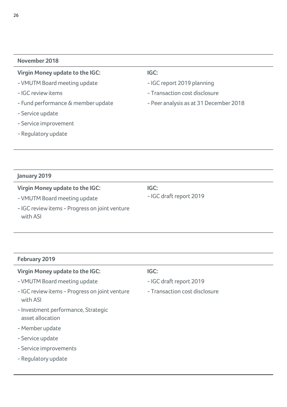#### **November 2018**

#### **Virgin Money update to the IGC:**

- VMUTM Board meeting update
- IGC review items
- Fund performance & member update
- Service update
- Service improvement
- Regulatory update

#### **IGC:**

- IGC report 2019 planning

- Transaction cost disclosure
- Peer analysis as at 31 December 2018

#### **January 2019**

#### **Virgin Money update to the IGC:**

- VMUTM Board meeting update

**IGC:** - IGC draft report 2019

- IGC review items - Progress on joint venture with ASI

#### **February 2019**

## **Virgin Money update to the IGC:** - VMUTM Board meeting update - IGC review items - Progress on joint venture with ASI - Investment performance, Strategic asset allocation - Member update - Service update - Service improvements - Regulatory update **IGC:** - IGC draft report 2019 - Transaction cost disclosure